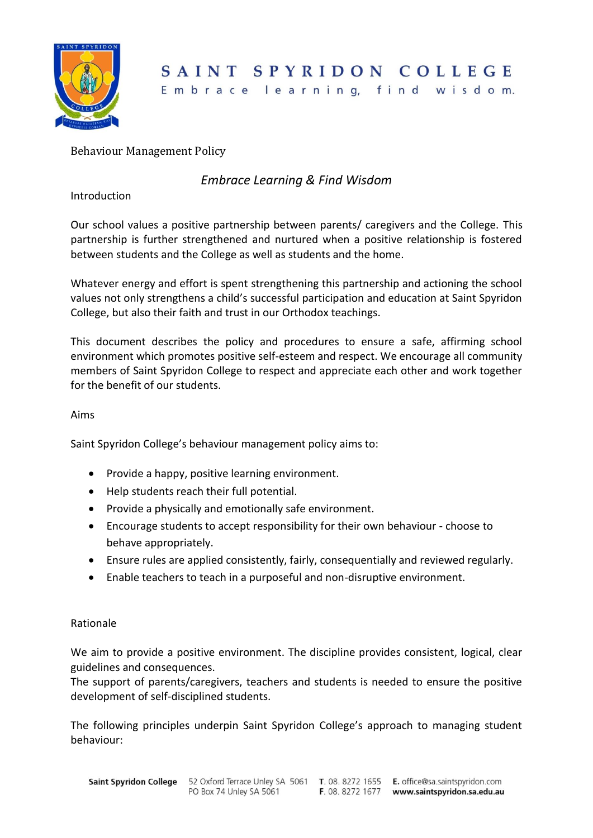

# SAINT SPYRIDON COLLEGE

Embrace learning, find wisdom.

## Behaviour Management Policy

## *Embrace Learning & Find Wisdom*

Introduction

Our school values a positive partnership between parents/ caregivers and the College. This partnership is further strengthened and nurtured when a positive relationship is fostered between students and the College as well as students and the home.

Whatever energy and effort is spent strengthening this partnership and actioning the school values not only strengthens a child's successful participation and education at Saint Spyridon College, but also their faith and trust in our Orthodox teachings.

This document describes the policy and procedures to ensure a safe, affirming school environment which promotes positive self-esteem and respect. We encourage all community members of Saint Spyridon College to respect and appreciate each other and work together for the benefit of our students.

#### Aims

Saint Spyridon College's behaviour management policy aims to:

- Provide a happy, positive learning environment.
- Help students reach their full potential.
- Provide a physically and emotionally safe environment.
- Encourage students to accept responsibility for their own behaviour choose to behave appropriately.
- Ensure rules are applied consistently, fairly, consequentially and reviewed regularly.
- Enable teachers to teach in a purposeful and non-disruptive environment.

#### Rationale

We aim to provide a positive environment. The discipline provides consistent, logical, clear guidelines and consequences.

The support of parents/caregivers, teachers and students is needed to ensure the positive development of self-disciplined students.

The following principles underpin Saint Spyridon College's approach to managing student behaviour: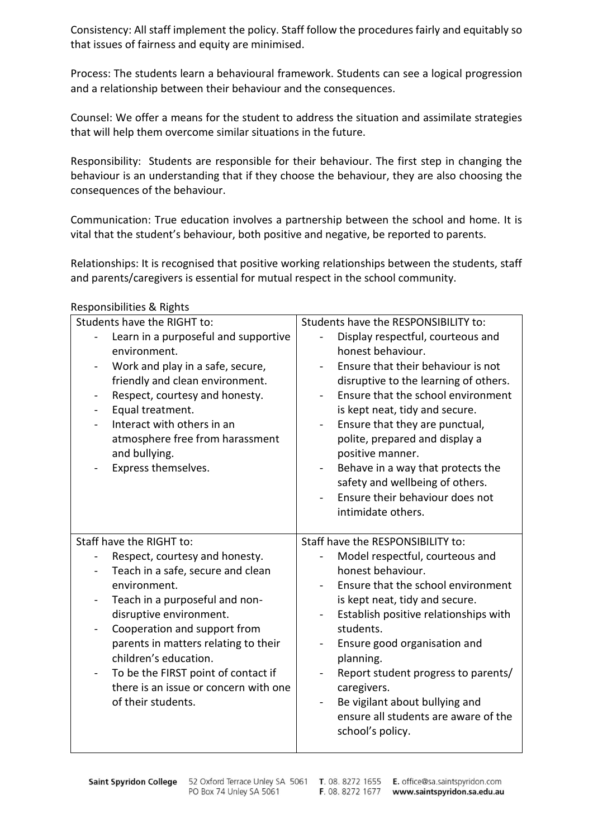Consistency: All staff implement the policy. Staff follow the procedures fairly and equitably so that issues of fairness and equity are minimised.

Process: The students learn a behavioural framework. Students can see a logical progression and a relationship between their behaviour and the consequences.

Counsel: We offer a means for the student to address the situation and assimilate strategies that will help them overcome similar situations in the future.

Responsibility: Students are responsible for their behaviour. The first step in changing the behaviour is an understanding that if they choose the behaviour, they are also choosing the consequences of the behaviour.

Communication: True education involves a partnership between the school and home. It is vital that the student's behaviour, both positive and negative, be reported to parents.

Relationships: It is recognised that positive working relationships between the students, staff and parents/caregivers is essential for mutual respect in the school community.

| Students have the RIGHT to:                                       | Students have the RESPONSIBILITY to:                                        |
|-------------------------------------------------------------------|-----------------------------------------------------------------------------|
| Learn in a purposeful and supportive                              | Display respectful, courteous and                                           |
| environment.                                                      | honest behaviour.                                                           |
| Work and play in a safe, secure,                                  | Ensure that their behaviour is not                                          |
| friendly and clean environment.<br>Respect, courtesy and honesty. | disruptive to the learning of others.<br>Ensure that the school environment |
| Equal treatment.                                                  | is kept neat, tidy and secure.                                              |
| Interact with others in an                                        | Ensure that they are punctual,                                              |
| atmosphere free from harassment                                   | polite, prepared and display a                                              |
| and bullying.                                                     | positive manner.                                                            |
| Express themselves.                                               | Behave in a way that protects the<br>$\blacksquare$                         |
|                                                                   | safety and wellbeing of others.                                             |
|                                                                   | Ensure their behaviour does not<br>intimidate others.                       |
|                                                                   |                                                                             |
|                                                                   |                                                                             |
| Staff have the RIGHT to:                                          | Staff have the RESPONSIBILITY to:                                           |
| Respect, courtesy and honesty.                                    | Model respectful, courteous and                                             |
| Teach in a safe, secure and clean                                 | honest behaviour.                                                           |
| environment.                                                      | Ensure that the school environment                                          |
| Teach in a purposeful and non-                                    | is kept neat, tidy and secure.                                              |
| disruptive environment.                                           | Establish positive relationships with<br>$\blacksquare$                     |
| Cooperation and support from                                      | students.                                                                   |
| parents in matters relating to their<br>children's education.     | Ensure good organisation and<br>$\blacksquare$                              |
| To be the FIRST point of contact if<br>$\blacksquare$             | planning.<br>Report student progress to parents/<br>4                       |
| there is an issue or concern with one                             | caregivers.                                                                 |
| of their students.                                                | Be vigilant about bullying and<br>$\overline{\phantom{0}}$                  |
|                                                                   | ensure all students are aware of the                                        |
|                                                                   | school's policy.                                                            |

Responsibilities & Rights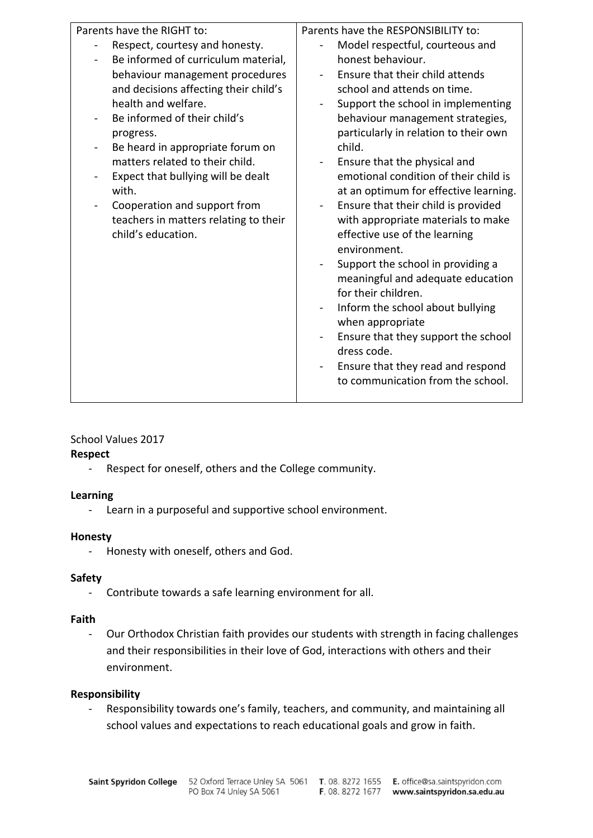| Parents have the RIGHT to:                                                                                                                                                                                                                                                                                                                                                                                                                 | Parents have the RESPONSIBILITY to:                                                                                                                                                                                                                                                                                                                                                                                                                                                                                                                                                                                                                                                                                                                                                          |
|--------------------------------------------------------------------------------------------------------------------------------------------------------------------------------------------------------------------------------------------------------------------------------------------------------------------------------------------------------------------------------------------------------------------------------------------|----------------------------------------------------------------------------------------------------------------------------------------------------------------------------------------------------------------------------------------------------------------------------------------------------------------------------------------------------------------------------------------------------------------------------------------------------------------------------------------------------------------------------------------------------------------------------------------------------------------------------------------------------------------------------------------------------------------------------------------------------------------------------------------------|
| Respect, courtesy and honesty.<br>Be informed of curriculum material,<br>behaviour management procedures<br>and decisions affecting their child's<br>health and welfare.<br>Be informed of their child's<br>progress.<br>Be heard in appropriate forum on<br>matters related to their child.<br>Expect that bullying will be dealt<br>with.<br>Cooperation and support from<br>teachers in matters relating to their<br>child's education. | Model respectful, courteous and<br>honest behaviour.<br>Ensure that their child attends<br>school and attends on time.<br>Support the school in implementing<br>behaviour management strategies,<br>particularly in relation to their own<br>child.<br>Ensure that the physical and<br>emotional condition of their child is<br>at an optimum for effective learning.<br>Ensure that their child is provided<br>with appropriate materials to make<br>effective use of the learning<br>environment.<br>Support the school in providing a<br>meaningful and adequate education<br>for their children.<br>Inform the school about bullying<br>when appropriate<br>Ensure that they support the school<br>dress code.<br>Ensure that they read and respond<br>to communication from the school. |
|                                                                                                                                                                                                                                                                                                                                                                                                                                            |                                                                                                                                                                                                                                                                                                                                                                                                                                                                                                                                                                                                                                                                                                                                                                                              |

## School Values 2017

#### **Respect**

- Respect for oneself, others and the College community.

#### **Learning**

- Learn in a purposeful and supportive school environment.

#### **Honesty**

- Honesty with oneself, others and God.

## **Safety**

- Contribute towards a safe learning environment for all.

## **Faith**

- Our Orthodox Christian faith provides our students with strength in facing challenges and their responsibilities in their love of God, interactions with others and their environment.

## **Responsibility**

- Responsibility towards one's family, teachers, and community, and maintaining all school values and expectations to reach educational goals and grow in faith.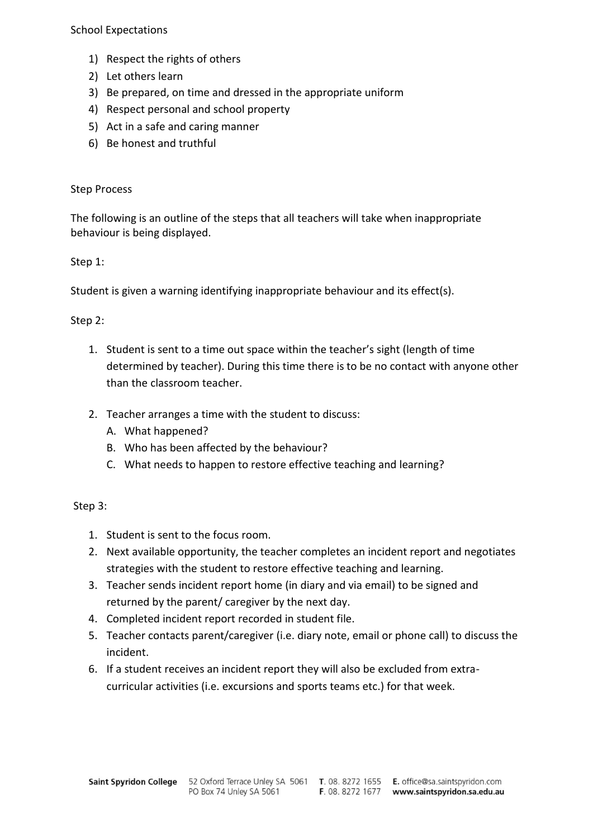School Expectations

- 1) Respect the rights of others
- 2) Let others learn
- 3) Be prepared, on time and dressed in the appropriate uniform
- 4) Respect personal and school property
- 5) Act in a safe and caring manner
- 6) Be honest and truthful

### Step Process

The following is an outline of the steps that all teachers will take when inappropriate behaviour is being displayed.

### Step 1:

Student is given a warning identifying inappropriate behaviour and its effect(s).

## Step 2:

- 1. Student is sent to a time out space within the teacher's sight (length of time determined by teacher). During this time there is to be no contact with anyone other than the classroom teacher.
- 2. Teacher arranges a time with the student to discuss:
	- A. What happened?
	- B. Who has been affected by the behaviour?
	- C. What needs to happen to restore effective teaching and learning?

#### Step 3:

- 1. Student is sent to the focus room.
- 2. Next available opportunity, the teacher completes an incident report and negotiates strategies with the student to restore effective teaching and learning.
- 3. Teacher sends incident report home (in diary and via email) to be signed and returned by the parent/ caregiver by the next day.
- 4. Completed incident report recorded in student file.
- 5. Teacher contacts parent/caregiver (i.e. diary note, email or phone call) to discuss the incident.
- 6. If a student receives an incident report they will also be excluded from extracurricular activities (i.e. excursions and sports teams etc.) for that week.